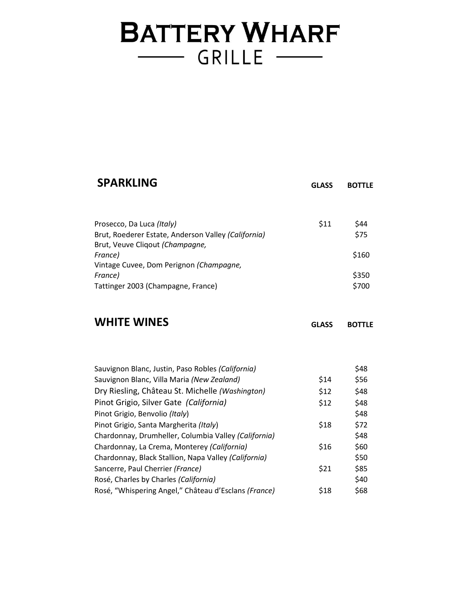# **BATTERY WHARF** GRILLE -

| <b>SPARKLING</b>                                                                                  | <b>GLASS</b> | <b>BOTTLE</b> |
|---------------------------------------------------------------------------------------------------|--------------|---------------|
| Prosecco, Da Luca (Italy)                                                                         | \$11         | \$44          |
| Brut, Roederer Estate, Anderson Valley (California)<br>Brut, Veuve Cliqout (Champagne,<br>France) |              | \$75<br>\$160 |
| Vintage Cuvee, Dom Perignon (Champagne,<br>France)                                                |              | \$350         |
| Tattinger 2003 (Champagne, France)                                                                |              | \$700         |
| <b>WHITE WINES</b>                                                                                | <b>GLASS</b> | <b>BOTTLE</b> |
| Sauvignon Blanc, Justin, Paso Robles (California)                                                 |              | \$48          |
| Sauvignon Blanc, Villa Maria (New Zealand)                                                        | \$14         | \$56          |
| Dry Riesling, Château St. Michelle (Washington)                                                   | \$12         | \$48          |
| Pinot Grigio, Silver Gate (California)                                                            | \$12         | \$48          |
| Pinot Grigio, Benvolio (Italy)                                                                    |              | \$48          |
| Pinot Grigio, Santa Margherita (Italy)                                                            | \$18         | \$72          |
| Chardonnay, Drumheller, Columbia Valley (California)                                              |              | \$48          |
| Chardonnay, La Crema, Monterey (California)                                                       | \$16         | \$60          |
| Chardonnay, Black Stallion, Napa Valley (California)                                              |              | \$50          |
| Sancerre, Paul Cherrier (France)                                                                  | \$21         | \$85          |
| Rosé, Charles by Charles (California)                                                             |              | \$40          |
| Rosé, "Whispering Angel," Château d'Esclans (France)                                              | \$18         | \$68          |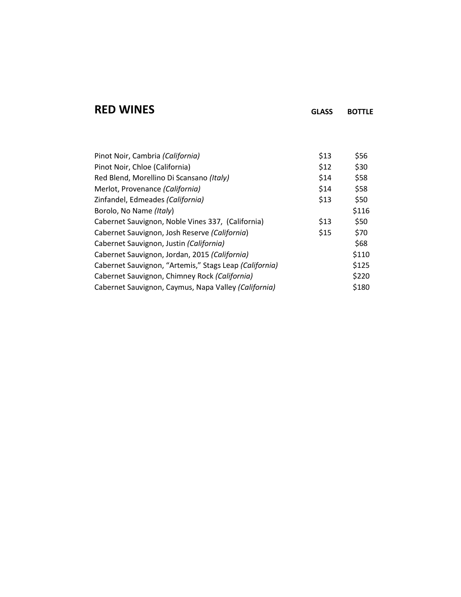#### **RED WINES GLASS BOTTLE**

| Pinot Noir, Cambria (California)                       | \$13 | \$56  |
|--------------------------------------------------------|------|-------|
| Pinot Noir, Chloe (California)                         | \$12 | \$30  |
| Red Blend, Morellino Di Scansano (Italy)               | \$14 | \$58  |
| Merlot, Provenance (California)                        | \$14 | \$58  |
| Zinfandel, Edmeades (California)                       | \$13 | \$50  |
| Borolo, No Name (Italy)                                |      | \$116 |
| Cabernet Sauvignon, Noble Vines 337, (California)      | \$13 | \$50  |
| Cabernet Sauvignon, Josh Reserve (California)          | \$15 | \$70  |
| Cabernet Sauvignon, Justin (California)                |      | \$68  |
| Cabernet Sauvignon, Jordan, 2015 (California)          |      | \$110 |
| Cabernet Sauvignon, "Artemis," Stags Leap (California) |      | \$125 |
| Cabernet Sauvignon, Chimney Rock (California)          |      | \$220 |
| Cabernet Sauvignon, Caymus, Napa Valley (California)   |      | \$180 |